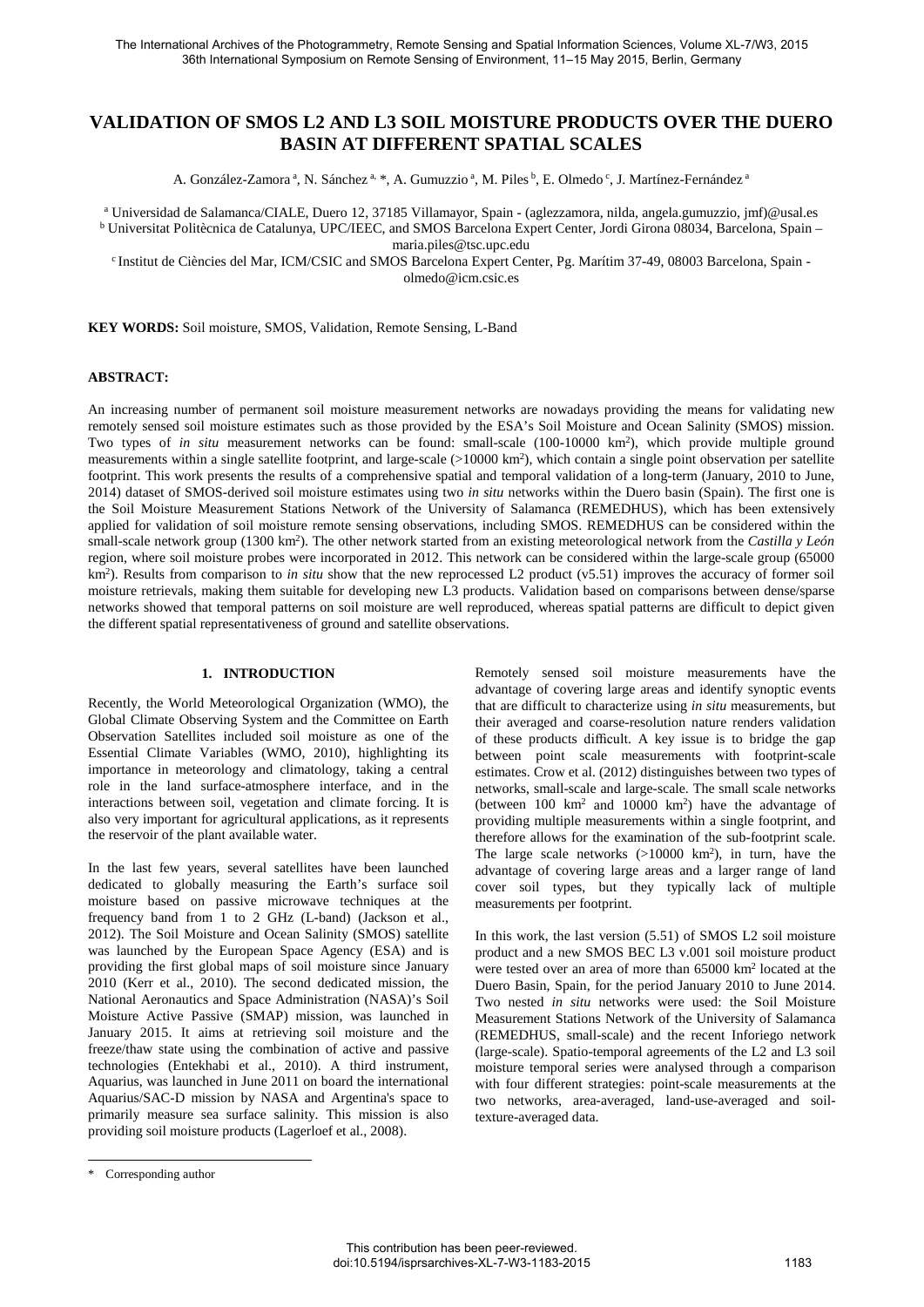# **VALIDATION OF SMOS L2 AND L3 SOIL MOISTURE PRODUCTS OVER THE DUERO BASIN AT DIFFERENT SPATIAL SCALES**

A. González-Zamora <sup>a</sup>, N. Sánchez <sup>a, \*</sup>, A. Gumuzzio <sup>a</sup>, M. Piles <sup>b</sup>, E. Olmedo <sup>c</sup>, J. Martínez-Fernández <sup>a</sup>

<sup>a</sup> Universidad de Salamanca/CIALE, Duero 12, 37185 Villamayor, Spain - (aglezzamora, nilda, angela.gumuzzio, jmf)@usal.es <sup>b</sup> Universitat Politècnica de Catalunya, UPC/IEEC, and SMOS Barcelona Expert Center, Jordi Girona 08034, Barcelona, Spain –

maria.piles@tsc.upc.edu

c Institut de Ciències del Mar, ICM/CSIC and SMOS Barcelona Expert Center, Pg. Marítim 37-49, 08003 Barcelona, Spain olmedo@icm.csic.es

**KEY WORDS:** Soil moisture, SMOS, Validation, Remote Sensing, L-Band

### **ABSTRACT:**

An increasing number of permanent soil moisture measurement networks are nowadays providing the means for validating new remotely sensed soil moisture estimates such as those provided by the ESA's Soil Moisture and Ocean Salinity (SMOS) mission. Two types of *in situ* measurement networks can be found: small-scale (100-10000 km<sup>2</sup>), which provide multiple ground measurements within a single satellite footprint, and large-scale  $(>10000 \text{ km}^2)$ , which contain a single point observation per satellite footprint. This work presents the results of a comprehensive spatial and temporal validation of a long-term (January, 2010 to June, 2014) dataset of SMOS-derived soil moisture estimates using two *in situ* networks within the Duero basin (Spain). The first one is the Soil Moisture Measurement Stations Network of the University of Salamanca (REMEDHUS), which has been extensively applied for validation of soil moisture remote sensing observations, including SMOS. REMEDHUS can be considered within the small-scale network group (1300 km2 ). The other network started from an existing meteorological network from the *Castilla y León* region, where soil moisture probes were incorporated in 2012. This network can be considered within the large-scale group (65000 km<sup>2</sup>). Results from comparison to *in situ* show that the new reprocessed L2 product (v5.51) improves the accuracy of former soil moisture retrievals, making them suitable for developing new L3 products. Validation based on comparisons between dense/sparse networks showed that temporal patterns on soil moisture are well reproduced, whereas spatial patterns are difficult to depict given the different spatial representativeness of ground and satellite observations.

# **1. INTRODUCTION**

Recently, the World Meteorological Organization (WMO), the Global Climate Observing System and the Committee on Earth Observation Satellites included soil moisture as one of the Essential Climate Variables (WMO, 2010), highlighting its importance in meteorology and climatology, taking a central role in the land surface-atmosphere interface, and in the interactions between soil, vegetation and climate forcing. It is also very important for agricultural applications, as it represents the reservoir of the plant available water.

In the last few years, several satellites have been launched dedicated to globally measuring the Earth's surface soil moisture based on passive microwave techniques at the frequency band from 1 to 2 GHz (L-band) (Jackson et al., 2012). The Soil Moisture and Ocean Salinity (SMOS) satellite was launched by the European Space Agency (ESA) and is providing the first global maps of soil moisture since January 2010 (Kerr et al., 2010). The second dedicated mission, the National Aeronautics and Space Administration (NASA)'s Soil Moisture Active Passive (SMAP) mission, was launched in January 2015. It aims at retrieving soil moisture and the freeze/thaw state using the combination of active and passive technologies (Entekhabi et al., 2010). A third instrument, Aquarius, was launched in June 2011 on board the international Aquarius/SAC-D mission by NASA and Argentina's space to primarily measure sea surface salinity. This mission is also providing soil moisture products (Lagerloef et al., 2008).

Remotely sensed soil moisture measurements have the advantage of covering large areas and identify synoptic events that are difficult to characterize using *in situ* measurements, but their averaged and coarse-resolution nature renders validation of these products difficult. A key issue is to bridge the gap between point scale measurements with footprint-scale estimates. Crow et al. (2012) distinguishes between two types of networks, small-scale and large-scale. The small scale networks (between 100 km<sup>2</sup> and 10000 km<sup>2</sup>) have the advantage of providing multiple measurements within a single footprint, and therefore allows for the examination of the sub-footprint scale. The large scale networks  $(>10000 \text{ km}^2)$ , in turn, have the advantage of covering large areas and a larger range of land cover soil types, but they typically lack of multiple measurements per footprint.

In this work, the last version (5.51) of SMOS L2 soil moisture product and a new SMOS BEC L3 v.001 soil moisture product were tested over an area of more than 65000 km2 located at the Duero Basin, Spain, for the period January 2010 to June 2014. Two nested *in situ* networks were used: the Soil Moisture Measurement Stations Network of the University of Salamanca (REMEDHUS, small-scale) and the recent Inforiego network (large-scale). Spatio-temporal agreements of the L2 and L3 soil moisture temporal series were analysed through a comparison with four different strategies: point-scale measurements at the two networks, area-averaged, land-use-averaged and soiltexture-averaged data.

<sup>\*</sup> Corresponding author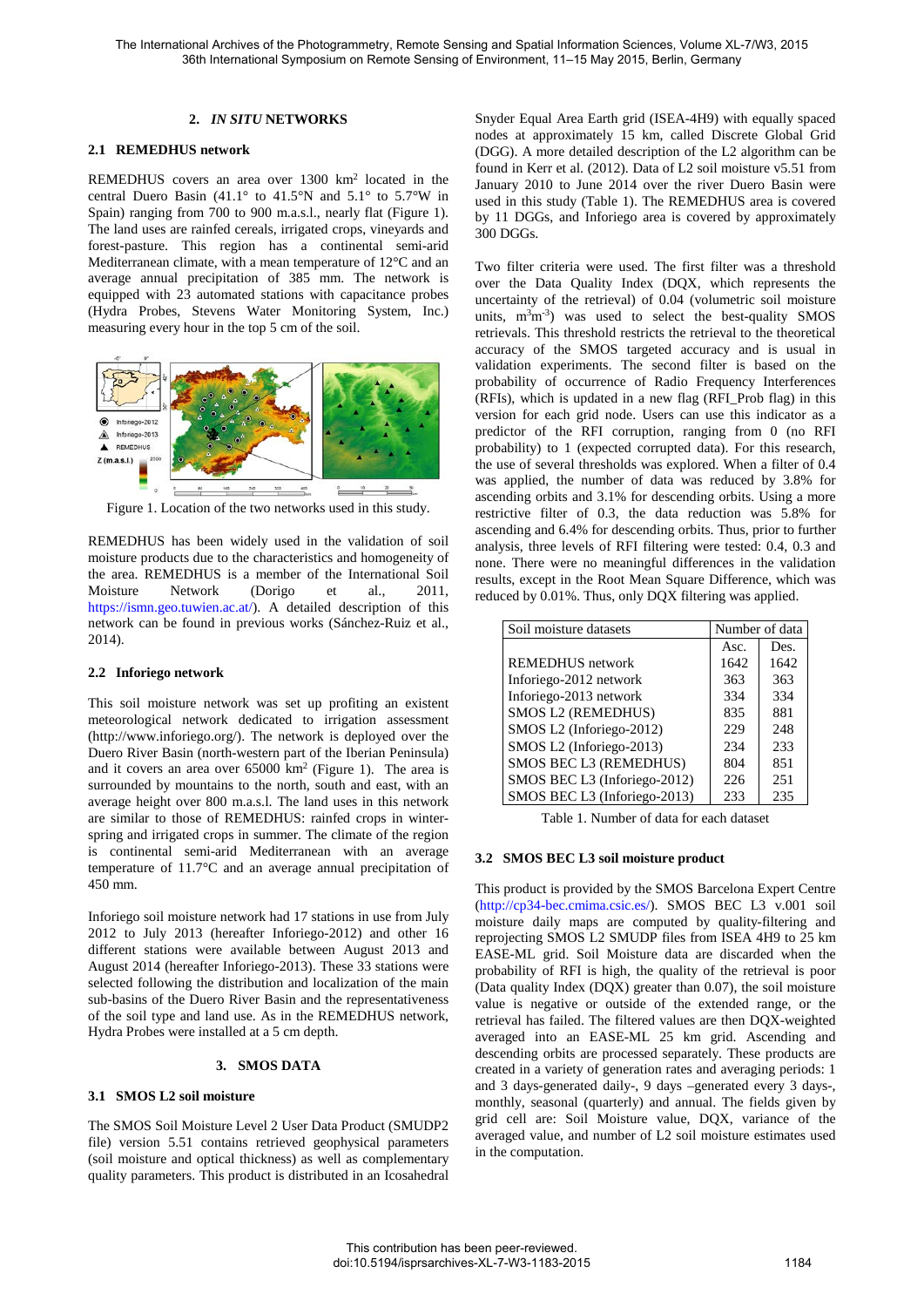### **2.** *IN SITU* **NETWORKS**

## **2.1 REMEDHUS network**

REMEDHUS covers an area over 1300 km<sup>2</sup> located in the central Duero Basin (41.1° to 41.5°N and 5.1° to 5.7°W in Spain) ranging from 700 to 900 m.a.s.l., nearly flat (Figure 1). The land uses are rainfed cereals, irrigated crops, vineyards and forest-pasture. This region has a continental semi-arid Mediterranean climate, with a mean temperature of 12°C and an average annual precipitation of 385 mm. The network is equipped with 23 automated stations with capacitance probes (Hydra Probes, Stevens Water Monitoring System, Inc.) measuring every hour in the top 5 cm of the soil.



Figure 1. Location of the two networks used in this study.

REMEDHUS has been widely used in the validation of soil moisture products due to the characteristics and homogeneity of the area. REMEDHUS is a member of the International Soil Moisture Network (Dorigo et al., 2011, https://ismn.geo.tuwien.ac.at/). A detailed description of this network can be found in previous works (Sánchez-Ruiz et al., 2014).

### **2.2 Inforiego network**

This soil moisture network was set up profiting an existent meteorological network dedicated to irrigation assessment (http://www.inforiego.org/). The network is deployed over the Duero River Basin (north-western part of the Iberian Peninsula) and it covers an area over 65000 km2 (Figure 1). The area is surrounded by mountains to the north, south and east, with an average height over 800 m.a.s.l. The land uses in this network are similar to those of REMEDHUS: rainfed crops in winterspring and irrigated crops in summer. The climate of the region is continental semi-arid Mediterranean with an average temperature of 11.7°C and an average annual precipitation of 450 mm.

Inforiego soil moisture network had 17 stations in use from July 2012 to July 2013 (hereafter Inforiego-2012) and other 16 different stations were available between August 2013 and August 2014 (hereafter Inforiego-2013). These 33 stations were selected following the distribution and localization of the main sub-basins of the Duero River Basin and the representativeness of the soil type and land use. As in the REMEDHUS network, Hydra Probes were installed at a 5 cm depth.

#### **3. SMOS DATA**

### **3.1 SMOS L2 soil moisture**

The SMOS Soil Moisture Level 2 User Data Product (SMUDP2 file) version 5.51 contains retrieved geophysical parameters (soil moisture and optical thickness) as well as complementary quality parameters. This product is distributed in an Icosahedral Snyder Equal Area Earth grid (ISEA-4H9) with equally spaced nodes at approximately 15 km, called Discrete Global Grid (DGG). A more detailed description of the L2 algorithm can be found in Kerr et al. (2012). Data of L2 soil moisture v5.51 from January 2010 to June 2014 over the river Duero Basin were used in this study (Table 1). The REMEDHUS area is covered by 11 DGGs, and Inforiego area is covered by approximately 300 DGGs.

Two filter criteria were used. The first filter was a threshold over the Data Quality Index (DQX, which represents the uncertainty of the retrieval) of 0.04 (volumetric soil moisture units,  $m<sup>3</sup>m<sup>-3</sup>$ ) was used to select the best-quality SMOS retrievals. This threshold restricts the retrieval to the theoretical accuracy of the SMOS targeted accuracy and is usual in validation experiments. The second filter is based on the probability of occurrence of Radio Frequency Interferences (RFIs), which is updated in a new flag (RFI\_Prob flag) in this version for each grid node. Users can use this indicator as a predictor of the RFI corruption, ranging from 0 (no RFI probability) to 1 (expected corrupted data). For this research, the use of several thresholds was explored. When a filter of 0.4 was applied, the number of data was reduced by 3.8% for ascending orbits and 3.1% for descending orbits. Using a more restrictive filter of 0.3, the data reduction was 5.8% for ascending and 6.4% for descending orbits. Thus, prior to further analysis, three levels of RFI filtering were tested: 0.4, 0.3 and none. There were no meaningful differences in the validation results, except in the Root Mean Square Difference, which was reduced by 0.01%. Thus, only DQX filtering was applied.

| Soil moisture datasets       | Number of data |      |
|------------------------------|----------------|------|
|                              | Asc.           | Des. |
| <b>REMEDHUS</b> network      | 1642           | 1642 |
| Inforiego-2012 network       | 363            | 363  |
| Inforiego-2013 network       | 334            | 334  |
| SMOS L2 (REMEDHUS)           | 835            | 881  |
| SMOS L2 (Inforiego-2012)     | 229            | 248  |
| SMOS L2 (Inforiego-2013)     | 234            | 233  |
| SMOS BEC L3 (REMEDHUS)       | 804            | 851  |
| SMOS BEC L3 (Inforiego-2012) | 226            | 251  |
| SMOS BEC L3 (Inforiego-2013) | 233            | 235  |

Table 1. Number of data for each dataset

#### **3.2 SMOS BEC L3 soil moisture product**

This product is provided by the SMOS Barcelona Expert Centre (http://cp34-bec.cmima.csic.es/). SMOS BEC L3 v.001 soil moisture daily maps are computed by quality-filtering and reprojecting SMOS L2 SMUDP files from ISEA 4H9 to 25 km EASE-ML grid. Soil Moisture data are discarded when the probability of RFI is high, the quality of the retrieval is poor (Data quality Index (DQX) greater than 0.07), the soil moisture value is negative or outside of the extended range, or the retrieval has failed. The filtered values are then DQX-weighted averaged into an EASE-ML 25 km grid. Ascending and descending orbits are processed separately. These products are created in a variety of generation rates and averaging periods: 1 and 3 days-generated daily-, 9 days –generated every 3 days-, monthly, seasonal (quarterly) and annual. The fields given by grid cell are: Soil Moisture value, DQX, variance of the averaged value, and number of L2 soil moisture estimates used in the computation.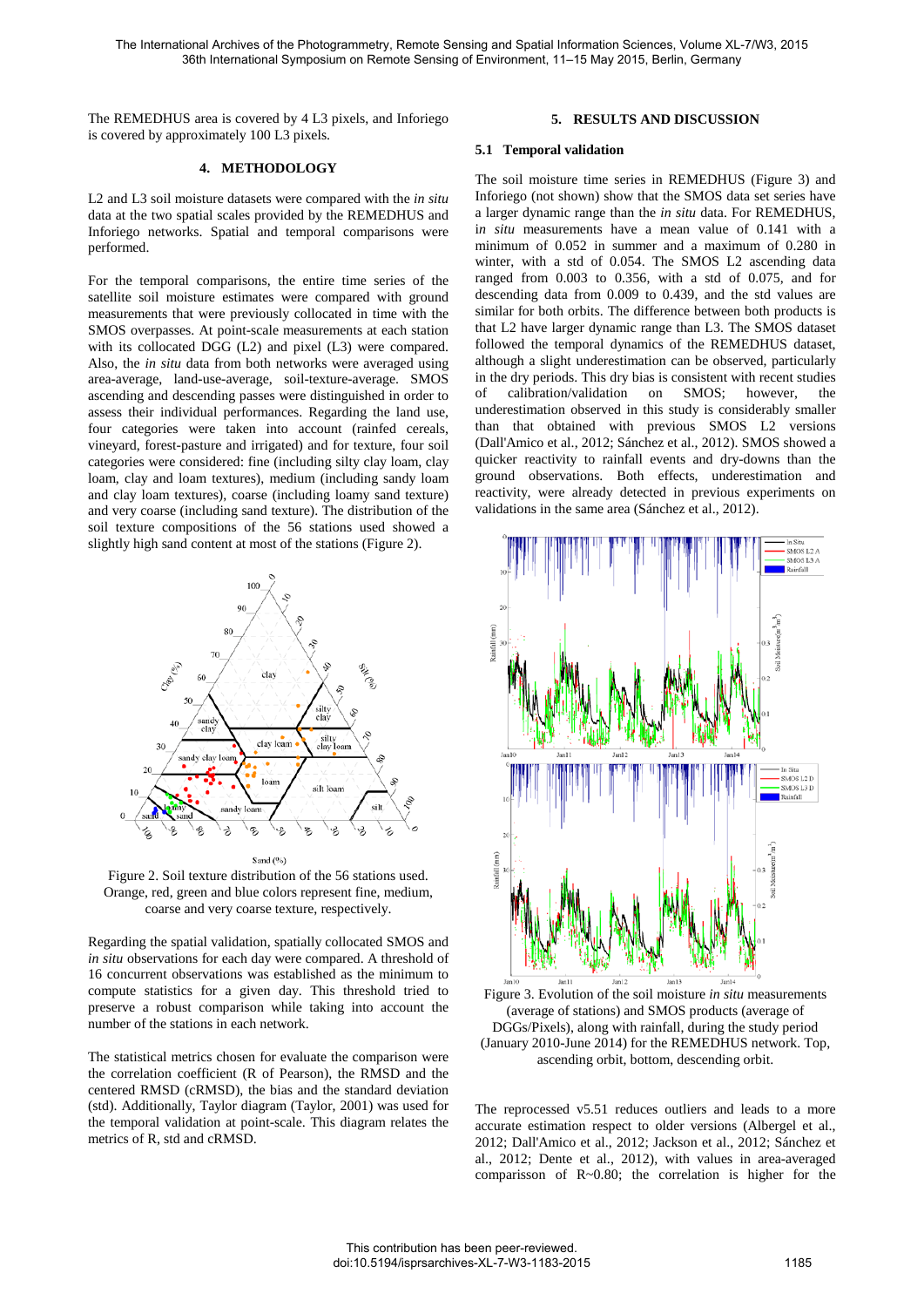The REMEDHUS area is covered by 4 L3 pixels, and Inforiego is covered by approximately 100 L3 pixels.

### **4. METHODOLOGY**

L2 and L3 soil moisture datasets were compared with the *in situ* data at the two spatial scales provided by the REMEDHUS and Inforiego networks. Spatial and temporal comparisons were performed.

For the temporal comparisons, the entire time series of the satellite soil moisture estimates were compared with ground measurements that were previously collocated in time with the SMOS overpasses. At point-scale measurements at each station with its collocated DGG (L2) and pixel (L3) were compared. Also, the *in situ* data from both networks were averaged using area-average, land-use-average, soil-texture-average. SMOS ascending and descending passes were distinguished in order to assess their individual performances. Regarding the land use, four categories were taken into account (rainfed cereals, vineyard, forest-pasture and irrigated) and for texture, four soil categories were considered: fine (including silty clay loam, clay loam, clay and loam textures), medium (including sandy loam and clay loam textures), coarse (including loamy sand texture) and very coarse (including sand texture). The distribution of the soil texture compositions of the 56 stations used showed a slightly high sand content at most of the stations (Figure 2).



Figure 2. Soil texture distribution of the 56 stations used. Orange, red, green and blue colors represent fine, medium, coarse and very coarse texture, respectively.

Regarding the spatial validation, spatially collocated SMOS and *in situ* observations for each day were compared. A threshold of 16 concurrent observations was established as the minimum to compute statistics for a given day. This threshold tried to preserve a robust comparison while taking into account the number of the stations in each network.

The statistical metrics chosen for evaluate the comparison were the correlation coefficient (R of Pearson), the RMSD and the centered RMSD (cRMSD), the bias and the standard deviation (std). Additionally, Taylor diagram (Taylor, 2001) was used for the temporal validation at point-scale. This diagram relates the metrics of R, std and cRMSD.

## **5. RESULTS AND DISCUSSION**

#### **5.1 Temporal validation**

The soil moisture time series in REMEDHUS (Figure 3) and Inforiego (not shown) show that the SMOS data set series have a larger dynamic range than the *in situ* data. For REMEDHUS, i*n situ* measurements have a mean value of 0.141 with a minimum of 0.052 in summer and a maximum of 0.280 in winter, with a std of 0.054. The SMOS L2 ascending data ranged from 0.003 to 0.356, with a std of 0.075, and for descending data from 0.009 to 0.439, and the std values are similar for both orbits. The difference between both products is that L2 have larger dynamic range than L3. The SMOS dataset followed the temporal dynamics of the REMEDHUS dataset, although a slight underestimation can be observed, particularly in the dry periods. This dry bias is consistent with recent studies of calibration/validation on SMOS; however, the underestimation observed in this study is considerably smaller than that obtained with previous SMOS L2 versions (Dall'Amico et al., 2012; Sánchez et al., 2012). SMOS showed a quicker reactivity to rainfall events and dry-downs than the ground observations. Both effects, underestimation and reactivity, were already detected in previous experiments on validations in the same area (Sánchez et al., 2012).



Figure 3. Evolution of the soil moisture *in situ* measurements (average of stations) and SMOS products (average of DGGs/Pixels), along with rainfall, during the study period (January 2010-June 2014) for the REMEDHUS network. Top, ascending orbit, bottom, descending orbit.

The reprocessed v5.51 reduces outliers and leads to a more accurate estimation respect to older versions (Albergel et al., 2012; Dall'Amico et al., 2012; Jackson et al., 2012; Sánchez et al., 2012; Dente et al., 2012), with values in area-averaged comparisson of R~0.80; the correlation is higher for the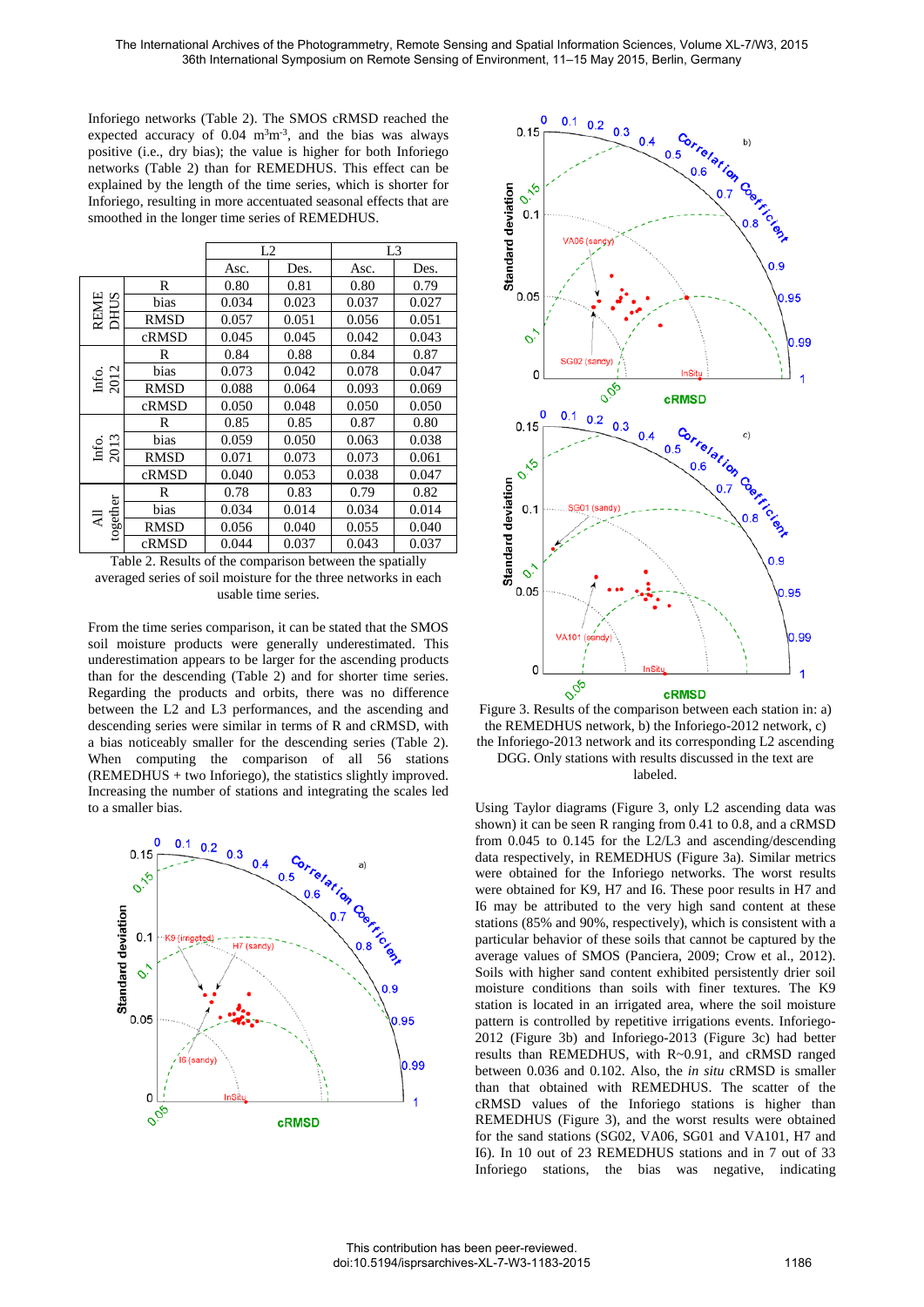Inforiego networks (Table 2). The SMOS cRMSD reached the expected accuracy of  $0.04 \text{ m}^3\text{m}^3$ , and the bias was always positive (i.e., dry bias); the value is higher for both Inforiego networks (Table 2) than for REMEDHUS. This effect can be explained by the length of the time series, which is shorter for Inforiego, resulting in more accentuated seasonal effects that are smoothed in the longer time series of REMEDHUS.

|                            |             | L2    |       | L3    |       |
|----------------------------|-------------|-------|-------|-------|-------|
|                            |             | Asc.  | Des.  | Asc.  | Des.  |
| <b>REME</b><br><b>DHUS</b> | R           | 0.80  | 0.81  | 0.80  | 0.79  |
|                            | bias        | 0.034 | 0.023 | 0.037 | 0.027 |
|                            | <b>RMSD</b> | 0.057 | 0.051 | 0.056 | 0.051 |
|                            | cRMSD       | 0.045 | 0.045 | 0.042 | 0.043 |
| Info.<br>2012              | R           | 0.84  | 0.88  | 0.84  | 0.87  |
|                            | bias        | 0.073 | 0.042 | 0.078 | 0.047 |
|                            | <b>RMSD</b> | 0.088 | 0.064 | 0.093 | 0.069 |
|                            | cRMSD       | 0.050 | 0.048 | 0.050 | 0.050 |
| Info.<br>2013              | R           | 0.85  | 0.85  | 0.87  | 0.80  |
|                            | bias        | 0.059 | 0.050 | 0.063 | 0.038 |
|                            | <b>RMSD</b> | 0.071 | 0.073 | 0.073 | 0.061 |
|                            | cRMSD       | 0.040 | 0.053 | 0.038 | 0.047 |
| together<br>₹              | R           | 0.78  | 0.83  | 0.79  | 0.82  |
|                            | bias        | 0.034 | 0.014 | 0.034 | 0.014 |
|                            | <b>RMSD</b> | 0.056 | 0.040 | 0.055 | 0.040 |
|                            | cRMSD       | 0.044 | 0.037 | 0.043 | 0.037 |

Table 2. Results of the comparison between the spatially averaged series of soil moisture for the three networks in each usable time series.

From the time series comparison, it can be stated that the SMOS soil moisture products were generally underestimated. This underestimation appears to be larger for the ascending products than for the descending (Table 2) and for shorter time series. Regarding the products and orbits, there was no difference between the L2 and L3 performances, and the ascending and descending series were similar in terms of R and cRMSD, with a bias noticeably smaller for the descending series (Table 2). When computing the comparison of all 56 stations  $(REMEDHUS + two Inforiego)$ , the statistics slightly improved. Increasing the number of stations and integrating the scales led to a smaller bias.





the REMEDHUS network, b) the Inforiego-2012 network, c) the Inforiego-2013 network and its corresponding L2 ascending DGG. Only stations with results discussed in the text are labeled.

Using Taylor diagrams (Figure 3, only L2 ascending data was shown) it can be seen R ranging from 0.41 to 0.8, and a cRMSD from 0.045 to 0.145 for the L2/L3 and ascending/descending data respectively, in REMEDHUS (Figure 3a). Similar metrics were obtained for the Inforiego networks. The worst results were obtained for K9, H7 and I6. These poor results in H7 and I6 may be attributed to the very high sand content at these stations (85% and 90%, respectively), which is consistent with a particular behavior of these soils that cannot be captured by the average values of SMOS (Panciera, 2009; Crow et al., 2012). Soils with higher sand content exhibited persistently drier soil moisture conditions than soils with finer textures. The K9 station is located in an irrigated area, where the soil moisture pattern is controlled by repetitive irrigations events. Inforiego-2012 (Figure 3b) and Inforiego-2013 (Figure 3c) had better results than REMEDHUS, with R~0.91, and cRMSD ranged between 0.036 and 0.102. Also, the *in situ* cRMSD is smaller than that obtained with REMEDHUS. The scatter of the cRMSD values of the Inforiego stations is higher than REMEDHUS (Figure 3), and the worst results were obtained for the sand stations (SG02, VA06, SG01 and VA101, H7 and I6). In 10 out of 23 REMEDHUS stations and in 7 out of 33 Inforiego stations, the bias was negative, indicating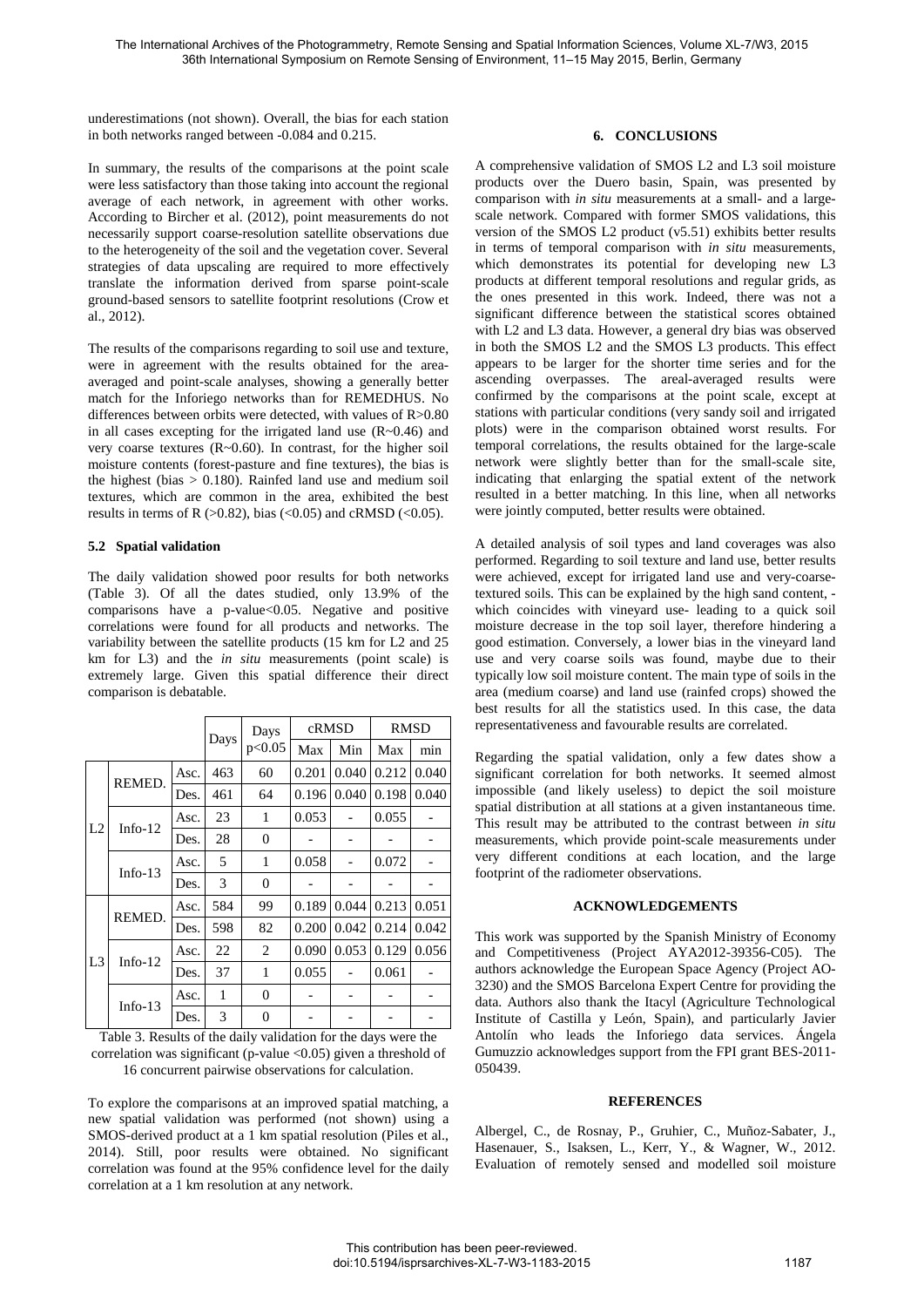underestimations (not shown). Overall, the bias for each station in both networks ranged between -0.084 and 0.215.

In summary, the results of the comparisons at the point scale were less satisfactory than those taking into account the regional average of each network, in agreement with other works. According to Bircher et al. (2012), point measurements do not necessarily support coarse-resolution satellite observations due to the heterogeneity of the soil and the vegetation cover. Several strategies of data upscaling are required to more effectively translate the information derived from sparse point-scale ground-based sensors to satellite footprint resolutions (Crow et al., 2012).

The results of the comparisons regarding to soil use and texture, were in agreement with the results obtained for the areaaveraged and point-scale analyses, showing a generally better match for the Inforiego networks than for REMEDHUS. No differences between orbits were detected, with values of R>0.80 in all cases excepting for the irrigated land use  $(R~0.46)$  and very coarse textures (R~0.60). In contrast, for the higher soil moisture contents (forest-pasture and fine textures), the bias is the highest (bias  $> 0.180$ ). Rainfed land use and medium soil textures, which are common in the area, exhibited the best results in terms of R  $(>0.82)$ , bias  $(<0.05)$  and cRMSD  $(<0.05)$ .

### **5.2 Spatial validation**

The daily validation showed poor results for both networks (Table 3). Of all the dates studied, only 13.9% of the comparisons have a p-value<0.05. Negative and positive correlations were found for all products and networks. The variability between the satellite products (15 km for L2 and 25 km for L3) and the *in situ* measurements (point scale) is extremely large. Given this spatial difference their direct comparison is debatable.

|                |            | Days | Days<br>p<0.05 | cRMSD          |       | RMSD  |       |       |
|----------------|------------|------|----------------|----------------|-------|-------|-------|-------|
|                |            |      |                | Max            | Min   | Max   | min   |       |
| L2             | REMED.     | Asc. | 463            | 60             | 0.201 | 0.040 | 0.212 | 0.040 |
|                |            | Des. | 461            | 64             | 0.196 | 0.040 | 0.198 | 0.040 |
|                | Info- $12$ | Asc. | 23             | 1              | 0.053 |       | 0.055 |       |
|                |            | Des. | 28             | $\overline{0}$ |       |       |       |       |
|                | Info- $13$ | Asc. | 5              | 1              | 0.058 |       | 0.072 |       |
|                |            | Des. | 3              | $\overline{0}$ |       |       |       |       |
| L <sub>3</sub> | REMED.     | Asc. | 584            | 99             | 0.189 | 0.044 | 0.213 | 0.051 |
|                |            | Des. | 598            | 82             | 0.200 | 0.042 | 0.214 | 0.042 |
|                | Info- $12$ | Asc. | 22             | $\overline{2}$ | 0.090 | 0.053 | 0.129 | 0.056 |
|                |            | Des. | 37             | 1              | 0.055 |       | 0.061 |       |
|                | Info- $13$ | Asc. | 1              | $\mathbf{0}$   |       |       |       |       |
|                |            | Des. | 3              | $\overline{0}$ |       |       |       |       |

Table 3. Results of the daily validation for the days were the correlation was significant (p-value  $\langle 0.05 \rangle$  given a threshold of 16 concurrent pairwise observations for calculation.

To explore the comparisons at an improved spatial matching, a new spatial validation was performed (not shown) using a SMOS-derived product at a 1 km spatial resolution (Piles et al., 2014). Still, poor results were obtained. No significant correlation was found at the 95% confidence level for the daily correlation at a 1 km resolution at any network.

# **6. CONCLUSIONS**

A comprehensive validation of SMOS L2 and L3 soil moisture products over the Duero basin, Spain, was presented by comparison with *in situ* measurements at a small- and a largescale network. Compared with former SMOS validations, this version of the SMOS L2 product (v5.51) exhibits better results in terms of temporal comparison with *in situ* measurements, which demonstrates its potential for developing new L3 products at different temporal resolutions and regular grids, as the ones presented in this work. Indeed, there was not a significant difference between the statistical scores obtained with L2 and L3 data. However, a general dry bias was observed in both the SMOS L2 and the SMOS L3 products. This effect appears to be larger for the shorter time series and for the ascending overpasses. The areal-averaged results were confirmed by the comparisons at the point scale, except at stations with particular conditions (very sandy soil and irrigated plots) were in the comparison obtained worst results. For temporal correlations, the results obtained for the large-scale network were slightly better than for the small-scale site, indicating that enlarging the spatial extent of the network resulted in a better matching. In this line, when all networks were jointly computed, better results were obtained.

A detailed analysis of soil types and land coverages was also performed. Regarding to soil texture and land use, better results were achieved, except for irrigated land use and very-coarsetextured soils. This can be explained by the high sand content, which coincides with vineyard use- leading to a quick soil moisture decrease in the top soil layer, therefore hindering a good estimation. Conversely, a lower bias in the vineyard land use and very coarse soils was found, maybe due to their typically low soil moisture content. The main type of soils in the area (medium coarse) and land use (rainfed crops) showed the best results for all the statistics used. In this case, the data representativeness and favourable results are correlated.

Regarding the spatial validation, only a few dates show a significant correlation for both networks. It seemed almost impossible (and likely useless) to depict the soil moisture spatial distribution at all stations at a given instantaneous time. This result may be attributed to the contrast between *in situ* measurements, which provide point-scale measurements under very different conditions at each location, and the large footprint of the radiometer observations.

# **ACKNOWLEDGEMENTS**

This work was supported by the Spanish Ministry of Economy and Competitiveness (Project AYA2012-39356-C05). The authors acknowledge the European Space Agency (Project AO-3230) and the SMOS Barcelona Expert Centre for providing the data. Authors also thank the Itacyl (Agriculture Technological Institute of Castilla y León, Spain), and particularly Javier Antolín who leads the Inforiego data services. Ángela Gumuzzio acknowledges support from the FPI grant BES-2011- 050439.

### **REFERENCES**

Albergel, C., de Rosnay, P., Gruhier, C., Muñoz-Sabater, J., Hasenauer, S., Isaksen, L., Kerr, Y., & Wagner, W., 2012. Evaluation of remotely sensed and modelled soil moisture